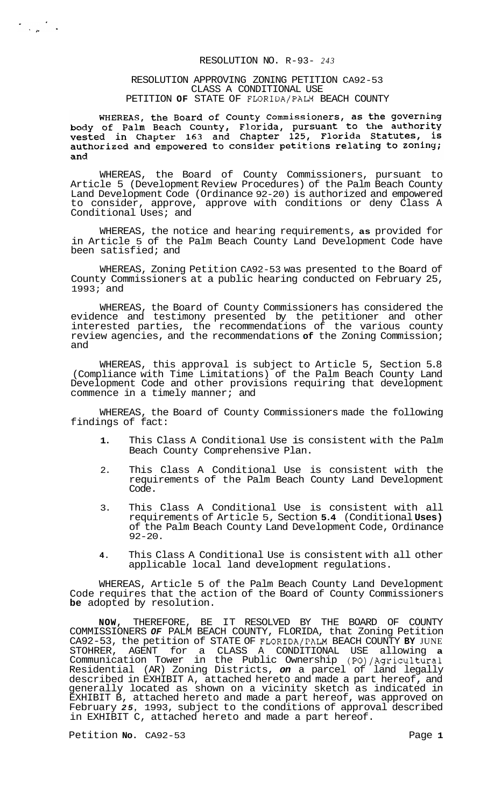# RESOLUTION NO. R-93- *243*

#### RESOLUTION APPROVING ZONING PETITION CA92-53 CLASS A CONDITIONAL USE PETITION **OF** STATE OF FLORIDA/PALM BEACH COUNTY

WHEREAS, the Board of County Commissioners, as the governing<br>body of Palm Beach County, Florida, pursuant to the authority<br>vested in Chapter 163 and Chapter 125, Florida Statutes, is authorized and empowered to consider petitions relating to zoning; and

WHEREAS, the Board of County Commissioners, pursuant to Article 5 (Development Review Procedures) of the Palm Beach County Land Development Code (Ordinance 92-20) is authorized and empowered to consider, approve, approve with conditions or deny Class A Conditional Uses; and

WHEREAS, the notice and hearing requirements, **as** provided for in Article 5 of the Palm Beach County Land Development Code have been satisfied; and

WHEREAS, Zoning Petition CA92-53 was presented to the Board of County Commissioners at a public hearing conducted on February 25, 1993; and

WHEREAS, the Board of County Commissioners has considered the evidence and testimony presented by the petitioner and other interested parties, the recommendations of the various county review agencies, and the recommendations **of** the Zoning Commission; and

WHEREAS, this approval is subject to Article 5, Section 5.8 (Compliance with Time Limitations) of the Palm Beach County Land Development Code and other provisions requiring that development commence in a timely manner; and

WHEREAS, the Board of County Commissioners made the following findings of fact:

- **1.** This Class A Conditional Use is consistent with the Palm Beach County Comprehensive Plan.
- 2. This Class A Conditional Use is consistent with the requirements of the Palm Beach County Land Development Code.
- 3. This Class A Conditional Use is consistent with all requirements of Article 5, Section **5.4** (Conditional **Uses)**  of the Palm Beach County Land Development Code, Ordinance 92-20.
- **4.** This Class A Conditional Use is consistent with all other applicable local land development regulations.

WHEREAS, Article 5 of the Palm Beach County Land Development Code requires that the action of the Board of County Commissioners **be** adopted by resolution.

**NOW,** THEREFORE, BE IT RESOLVED BY THE BOARD OF COUNTY COMMISSIONERS *OF* PALM BEACH COUNTY, FLORIDA, that Zoning Petition CA92-53, the petition of STATE OF FLORIDA/PALM BEACH COUNTY **BY** JUNE STOHRER, AGENT for a CLASS A CONDITIONAL USE allowing **a**  Communication Tower in the Public Ownership (PO)/Agricultural Residential (AR) Zoning Districts, *on* a parcel of land legally described in EXHIBIT A, attached hereto and made a part hereof, and generally located as shown on a vicinity sketch as indicated in EXHIBIT B, attached hereto and made a part hereof, was approved on February *25,* 1993, subject to the conditions of approval described in EXHIBIT C, attached hereto and made a part hereof.

Petition **No.** CA92-53 Page 1

 $\label{eq:2} \frac{1}{\sqrt{2}}\sum_{\mu} \frac{d\mu}{\mu} \frac{d\mu}{d\mu} \frac{d\mu}{d\mu}$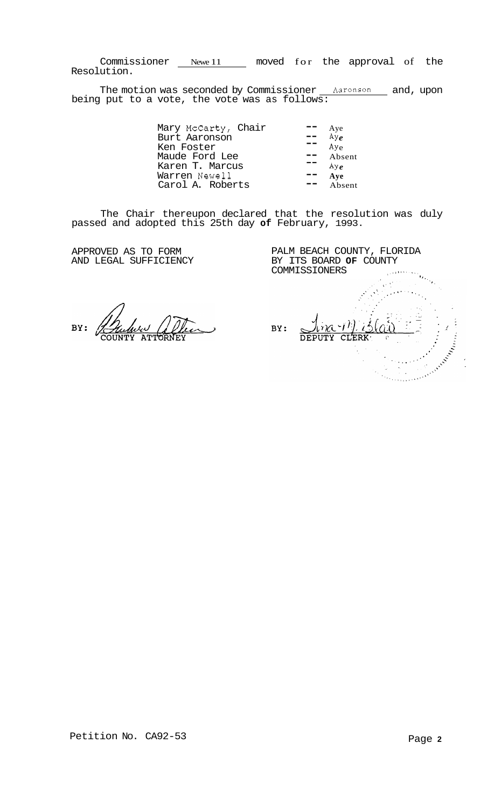Commissioner Newe 11 moved for the approval of the Resolution.

The motion was seconded by Commissioner <u>Aaronson</u> and, upon being put to a vote, the vote was as follows:

> Mary McCarty, Chair -- Aye Burt Aaronson -- AY *<sup>e</sup>* Ken Foster  $A_{y_e}$ <br>Maude Ford Lee  $A_{y_e}$ Ken roster to the film of the film of the film of the film of the film of the film of the film of the film of <br>Maude Ford Lee the film of the film of the film of the film of the film of the film of the film of the film of Karen T. Marcus  $\overline{\phantom{a}}$   $\overline{\phantom{a}}$   $\phantom{a}$   $\overline{\phantom{a}}$   $\phantom{a}$   $\phantom{a}$ Karen T. Marcus<br>
> Warren Newell<br>
> Carol A. Roberts<br>
> Transform Transform Absent Carol A. Roberts  $\frac{\mathbf{w}}{\mathbf{w}} = \frac{\mathbf{A} \times \mathbf{e}}{\mathbf{A} \times \mathbf{e}}$  $- -$

The Chair thereupon declared that the resolution was duly passed and adopted this 25th day **of** February, 1993.

APPROVED AS TO FORM AND LEGAL SUFFICIENCY

 $\overline{\phantom{a}}$ BY:

PALM BEACH COUNTY, FLORIDA BY ITS BOARD **OF** COUNTY COMMISSIONERS COMMISSIONERS  $\sum_{i=1}^n\alpha_i\in\mathbb{R}^n$  $lim_{x \to 0}$ All Company of the Company of the Company of the Company of the Company of the Company of the Company of the Company of the Company of the Company of the Company of the Company of the Company of the Company of the Company BY: DEPUTY CLERK  $\Omega$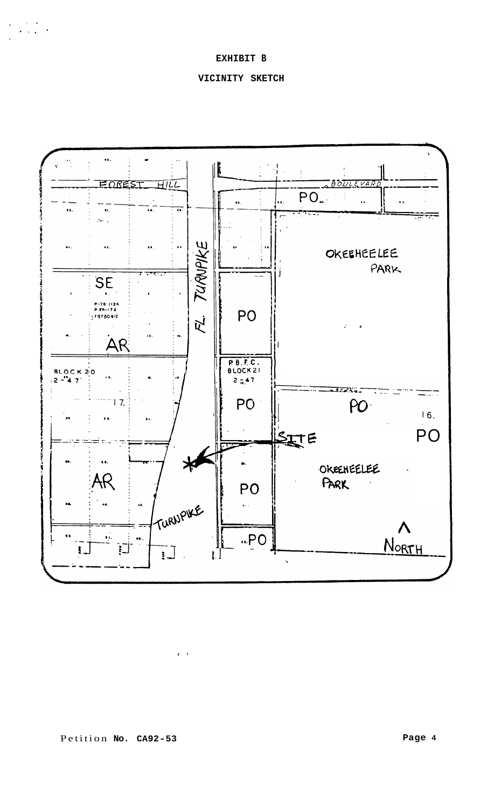**EXHIBIT B** 

 $\label{eq:2} \begin{array}{l} \mathcal{L}_{\text{eff}}=\mathcal{L}_{\text{eff}}\left(\mathcal{L}_{\text{eff}}\right) \mathcal{L}_{\text{eff}} \\ \mathcal{L}_{\text{eff}}=\mathcal{L}_{\text{eff}}\left(\mathcal{L}_{\text{eff}}\right) \mathcal{L}_{\text{eff}} \end{array}$ 

# **VICINITY SKETCH**



 $\mathbf{r} \in \mathcal{V}$